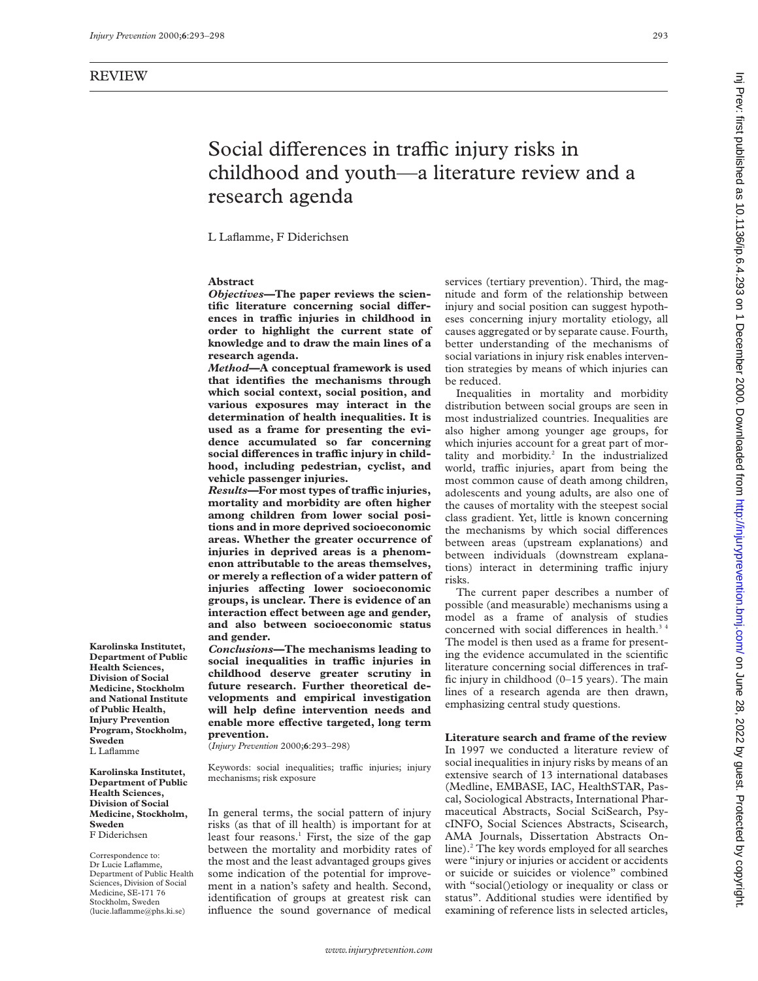# Social differences in traffic injury risks in childhood and youth—a literature review and a research agenda

L Laflamme, F Diderichsen

# **Abstract**

*Objectives—***The paper reviews the scien**tific literature concerning social differ**ences in traYc injuries in childhood in order to highlight the current state of knowledge and to draw the main lines of a research agenda.**

*Method—***A conceptual framework is used that identifies the mechanisms through which social context, social position, and various exposures may interact in the determination of health inequalities. It is used as a frame for presenting the evidence accumulated so far concerning** social differences in traffic injury in child**hood, including pedestrian, cyclist, and vehicle passenger injuries.**

*Results—***For most types of traYc injuries, mortality and morbidity are often higher among children from lower social positions and in more deprived socioeconomic areas. Whether the greater occurrence of injuries in deprived areas is a phenomenon attributable to the areas themselves, or merely a reflection of a wider pattern of injuries** affecting lower socioeconomic **groups, is unclear. There is evidence of an interaction effect between age and gender, and also between socioeconomic status and gender.**

*Conclusions—***The mechanisms leading to social inequalities in traYc injuries in childhood deserve greater scrutiny in future research. Further theoretical developments and empirical investigation will help define intervention needs and enable more effective targeted, long term prevention.**

(*Injury Prevention* 2000;**6**:293–298)

Keywords: social inequalities; traffic injuries; injury mechanisms; risk exposure

In general terms, the social pattern of injury risks (as that of ill health) is important for at least four reasons.<sup>1</sup> First, the size of the gap between the mortality and morbidity rates of the most and the least advantaged groups gives some indication of the potential for improvement in a nation's safety and health. Second, identification of groups at greatest risk can influence the sound governance of medical

services (tertiary prevention). Third, the magnitude and form of the relationship between injury and social position can suggest hypotheses concerning injury mortality etiology, all causes aggregated or by separate cause. Fourth, better understanding of the mechanisms of social variations in injury risk enables intervention strategies by means of which injuries can be reduced.

Inequalities in mortality and morbidity distribution between social groups are seen in most industrialized countries. Inequalities are also higher among younger age groups, for which injuries account for a great part of mortality and morbidity.<sup>2</sup> In the industrialized world, traffic injuries, apart from being the most common cause of death among children, adolescents and young adults, are also one of the causes of mortality with the steepest social class gradient. Yet, little is known concerning the mechanisms by which social differences between areas (upstream explanations) and between individuals (downstream explanations) interact in determining traffic injury risks.

The current paper describes a number of possible (and measurable) mechanisms using a model as a frame of analysis of studies concerned with social differences in health. $34$ The model is then used as a frame for presenting the evidence accumulated in the scientific literature concerning social differences in traffic injury in childhood (0–15 years). The main lines of a research agenda are then drawn, emphasizing central study questions.

**Literature search and frame of the review** In 1997 we conducted a literature review of social inequalities in injury risks by means of an extensive search of 13 international databases (Medline, EMBASE, IAC, HealthSTAR, Pascal, Sociological Abstracts, International Pharmaceutical Abstracts, Social SciSearch, PsycINFO, Social Sciences Abstracts, Scisearch, AMA Journals, Dissertation Abstracts Online).<sup>2</sup> The key words employed for all searches were "injury or injuries or accident or accidents or suicide or suicides or violence" combined with "social()etiology or inequality or class or status". Additional studies were identified by examining of reference lists in selected articles,

**Karolinska Institutet, Department of Public Health Sciences, Division of Social Medicine, Stockholm and National Institute of Public Health, Injury Prevention Program, Stockholm,**

**Karolinska Institutet, Department of Public Health Sciences, Division of Social Medicine, Stockholm, Sweden** F Diderichsen

**Sweden** L Laflamme

Correspondence to: Dr Lucie Laflamme, Department of Public Health Sciences, Division of Social Medicine, SE-171 76 Stockholm, Sweden (lucie.laflamme@phs.ki.se)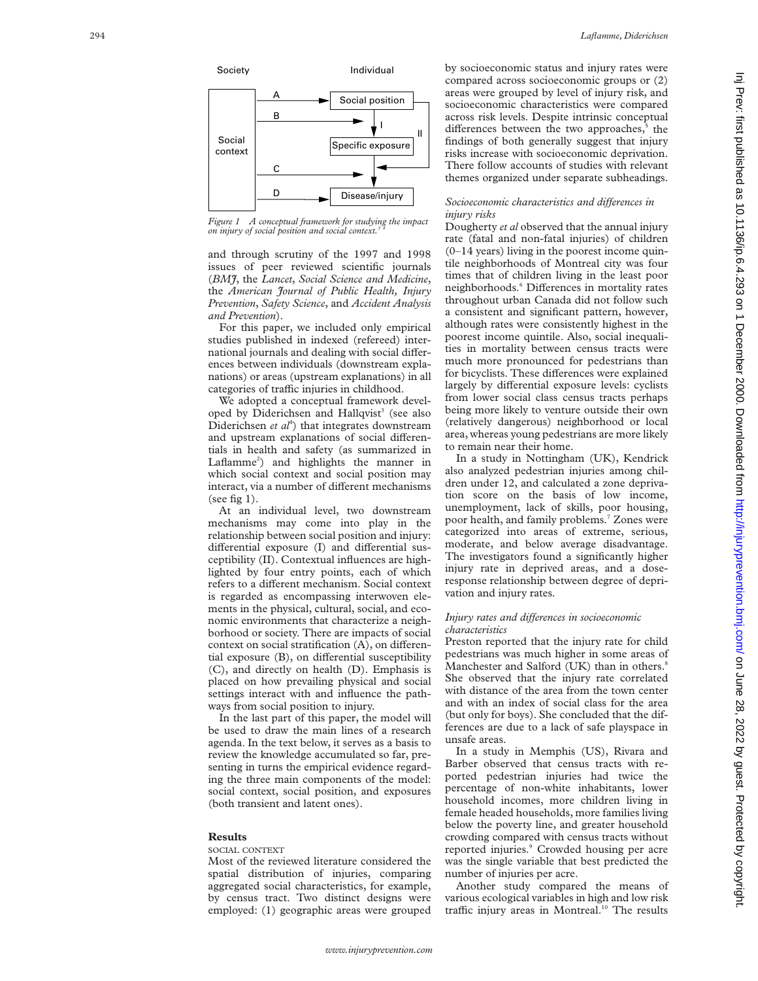

*Figure 1 A conceptual framework for studying the impact on injury of social position and social context.3 4*

and through scrutiny of the 1997 and 1998 issues of peer reviewed scientific journals (*BMJ*, the *Lancet*, *Social Science and Medicine*, the *American Journal of Public Health, Injury Prevention* , *Safety Science*, and *Accident Analysis and Prevention*).

For this paper, we included only empirical studies published in indexed (refereed) international journals and dealing with social differences between individuals (downstream explanations) or areas (upstream explanations) in all categories of traffic injuries in childhood.

We adopted a conceptual framework developed by Diderichsen and Hallqvist<sup>3</sup> (see also Diderichsen et al<sup>4</sup>) that integrates downstream and upstream explanations of social differentials in health and safety (as summarized in Laflamme 2 ) and highlights the manner in which social context and social position may interact, via a number of different mechanisms (see fig  $1$ ).

At an individual level, two downstream mechanisms may come into play in the relationship between social position and injury: differential exposure (I) and differential susceptibility (II). Contextual influences are highlighted by four entry points, each of which refers to a different mechanism. Social context is regarded as encompassing interwoven elements in the physical, cultural, social, and economic environments that characterize a neighborhood or society. There are impacts of social context on social stratification (A), on differential exposure  $(B)$ , on differential susceptibility (C), and directly on health (D). Emphasis is placed on how prevailing physical and social settings interact with and influence the pathways from social position to injury.

In the last part of this paper, the model will be used to draw the main lines of a research agenda. In the text below, it serves as a basis to review the knowledge accumulated so far, presenting in turns the empirical evidence regarding the three main components of the model: social context, social position, and exposures (both transient and latent ones).

#### **Results**

#### SOCIAL CONTEXT

Most of the reviewed literature considered the spatial distribution of injuries, comparing aggregated social characteristics, for example, by census tract. Two distinct designs were employed: (1) geographic areas were grouped

by socioeconomic status and injury rates were compared across socioeconomic groups or (2) areas were grouped by level of injury risk, and socioeconomic characteristics were compared across risk levels. Despite intrinsic conceptual differences between the two approaches,<sup>5</sup> the findings of both generally suggest that injury risks increase with socioeconomic deprivation. There follow accounts of studies with relevant themes organized under separate subheadings.

# *Socioeconomic characteristics and differences in injury risks*

Dougherty *et al* observed that the annual injury rate (fatal and non-fatal injuries) of children (0–14 years) living in the poorest income quintile neighborhoods of Montreal city was four times that of children living in the least poor neighborhoods.<sup>6</sup> Differences in mortality rates throughout urban Canada did not follow such a consistent and significant pattern, however, although rates were consistently highest in the poorest income quintile. Also, social inequalities in mortality between census tracts were much more pronounced for pedestrians than for bicyclists. These differences were explained largely by differential exposure levels: cyclists from lower social class census tracts perhaps being more likely to venture outside their own (relatively dangerous) neighborhood or local area, whereas young pedestrians are more likely to remain near their home.

In a study in Nottingham (UK), Kendrick also analyzed pedestrian injuries among children under 12, and calculated a zone deprivation score on the basis of low income, unemployment, lack of skills, poor housing, poor health, and family problems. <sup>7</sup> Zones were categorized into areas of extreme, serious, moderate, and below average disadvantage. The investigators found a significantly higher injury rate in deprived areas, and a doseresponse relationship between degree of deprivation and injury rates.

#### *Injury rates and differences in socioeconomic characteristics*

Preston reported that the injury rate for child pedestrians was much higher in some areas of Manchester and Salford (UK) than in others. 8 She observed that the injury rate correlated with distance of the area from the town center and with an index of social class for the area (but only for boys). She concluded that the differences are due to a lack of safe playspace in unsafe areas.

In a study in Memphis (US), Rivara and Barber observed that census tracts with reported pedestrian injuries had twice the percentage of non-white inhabitants, lower household incomes, more children living in female headed households, more families living below the poverty line, and greater household crowding compared with census tracts without reported injuries. <sup>9</sup> Crowded housing per acre was the single variable that best predicted the number of injuries per acre.

Another study compared the means of various ecological variables in high and low risk traffic injury areas in Montreal.<sup>10</sup> The results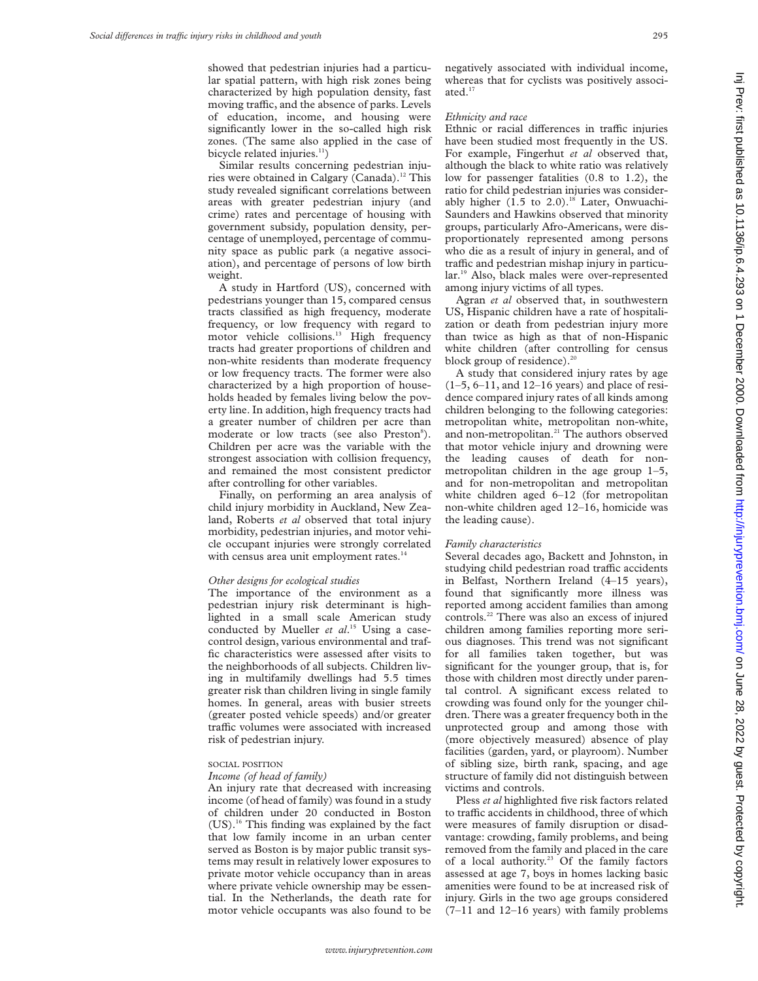showed that pedestrian injuries had a particular spatial pattern, with high risk zones being characterized by high population density, fast moving traffic, and the absence of parks. Levels of education, income, and housing were significantly lower in the so-called high risk zones. (The same also applied in the case of bicycle related injuries. $11$ )

Similar results concerning pedestrian injuries were obtained in Calgary (Canada).<sup>12</sup> This study revealed significant correlations between areas with greater pedestrian injury (and crime) rates and percentage of housing with government subsidy, population density, percentage of unemployed, percentage of community space as public park (a negative association), and percentage of persons of low birth weight.

A study in Hartford (US), concerned with pedestrians younger than 15, compared census tracts classified as high frequency, moderate frequency, or low frequency with regard to motor vehicle collisions.<sup>13</sup> High frequency tracts had greater proportions of children and non-white residents than moderate frequency or low frequency tracts. The former were also characterized by a high proportion of households headed by females living below the poverty line. In addition, high frequency tracts had a greater number of children per acre than moderate or low tracts (see also Preston<sup>8</sup>). Children per acre was the variable with the strongest association with collision frequency, and remained the most consistent predictor after controlling for other variables.

Finally, on performing an area analysis of child injury morbidity in Auckland, New Zealand, Roberts *et al* observed that total injury morbidity, pedestrian injuries, and motor vehicle occupant injuries were strongly correlated with census area unit employment rates.<sup>14</sup>

#### *Other designs for ecological studies*

The importance of the environment as a pedestrian injury risk determinant is highlighted in a small scale American study conducted by Mueller *et al*. <sup>15</sup> Using a casecontrol design, various environmental and traffic characteristics were assessed after visits to the neighborhoods of all subjects. Children living in multifamily dwellings had 5.5 times greater risk than children living in single family homes. In general, areas with busier streets (greater posted vehicle speeds) and/or greater traffic volumes were associated with increased risk of pedestrian injury.

#### SOCIAL POSITION

# *Income (of head of family)*

An injury rate that decreased with increasing income (of head of family) was found in a study of children under 20 conducted in Boston (US).16 This finding was explained by the fact that low family income in an urban center served as Boston is by major public transit systems may result in relatively lower exposures to private motor vehicle occupancy than in areas where private vehicle ownership may be essential. In the Netherlands, the death rate for motor vehicle occupants was also found to be

negatively associated with individual income, whereas that for cyclists was positively associated.<sup>17</sup>

#### *Ethnicity and race*

Ethnic or racial differences in traffic injuries have been studied most frequently in the US. For example, Fingerhut *et al* observed that, although the black to white ratio was relatively low for passenger fatalities (0.8 to 1.2), the ratio for child pedestrian injuries was considerably higher  $(1.5 \text{ to } 2.0)$ .<sup>18</sup> Later, Onwuachi-Saunders and Hawkins observed that minority groups, particularly Afro-Americans, were disproportionately represented among persons who die as a result of injury in general, and of traffic and pedestrian mishap injury in particular.19 Also, black males were over-represented among injury victims of all types.

Agran *et al* observed that, in southwestern US, Hispanic children have a rate of hospitalization or death from pedestrian injury more than twice as high as that of non-Hispanic white children (after controlling for census block group of residence).<sup>20</sup>

A study that considered injury rates by age  $(1-5, 6-11,$  and  $12-16$  years) and place of residence compared injury rates of all kinds among children belonging to the following categories: metropolitan white, metropolitan non-white, and non-metropolitan.<sup>21</sup> The authors observed that motor vehicle injury and drowning were the leading causes of death for nonmetropolitan children in the age group 1–5, and for non-metropolitan and metropolitan white children aged 6–12 (for metropolitan non-white children aged 12–16, homicide was the leading cause).

#### *Family characteristics*

Several decades ago, Backett and Johnston, in studying child pedestrian road traffic accidents in Belfast, Northern Ireland (4–15 years), found that significantly more illness was reported among accident families than among controls.22 There was also an excess of injured children among families reporting more serious diagnoses. This trend was not significant for all families taken together, but was significant for the younger group, that is, for those with children most directly under parental control. A significant excess related to crowding was found only for the younger children. There was a greater frequency both in the unprotected group and among those with (more objectively measured) absence of play facilities (garden, yard, or playroom). Number of sibling size, birth rank, spacing, and age structure of family did not distinguish between victims and controls.

Pless *et al* highlighted five risk factors related to traffic accidents in childhood, three of which were measures of family disruption or disadvantage: crowding, family problems, and being removed from the family and placed in the care of a local authority.<sup>23</sup> Of the family factors assessed at age 7, boys in homes lacking basic amenities were found to be at increased risk of injury. Girls in the two age groups considered (7–11 and 12–16 years) with family problems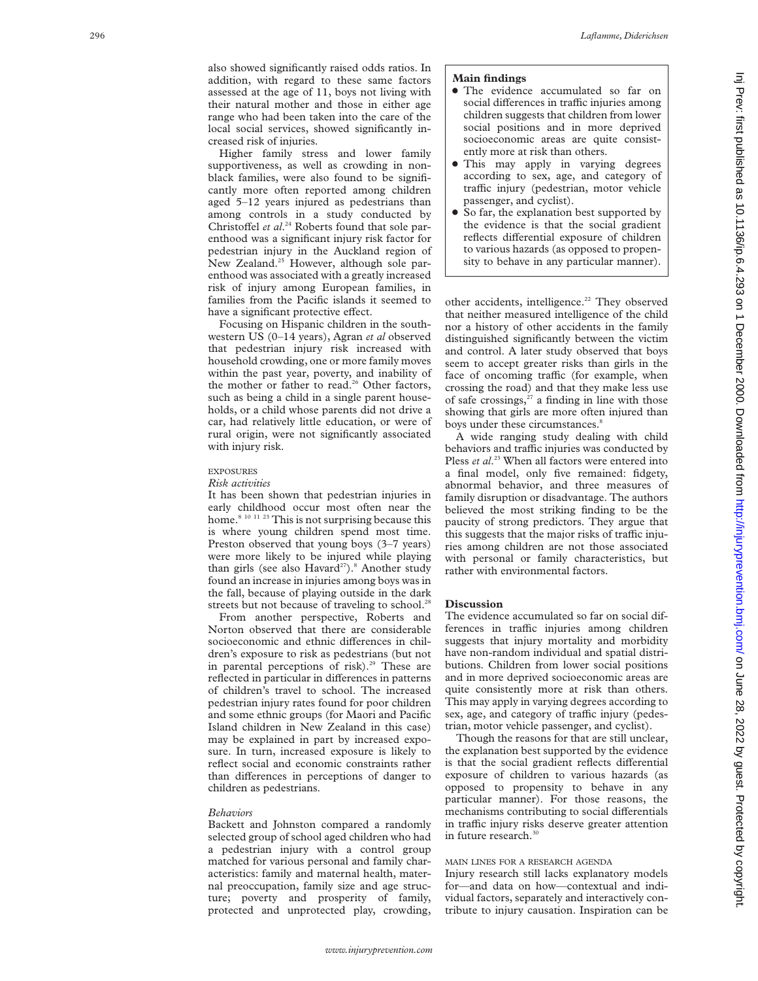also showed significantly raised odds ratios. In addition, with regard to these same factors assessed at the age of 11, boys not living with their natural mother and those in either age range who had been taken into the care of the local social services, showed significantly increased risk of injuries.

Higher family stress and lower family supportiveness, as well as crowding in nonblack families, were also found to be significantly more often reported among children aged 5–12 years injured as pedestrians than among controls in a study conducted by Christoffel et al.<sup>24</sup> Roberts found that sole parenthood was a significant injury risk factor for pedestrian injury in the Auckland region of New Zealand.<sup>25</sup> However, although sole parenthood was associated with a greatly increased risk of injury among European families, in families from the Pacific islands it seemed to have a significant protective effect.

Focusing on Hispanic children in the southwestern US (0–14 years), Agran *et al* observed that pedestrian injury risk increased with household crowding, one or more family moves within the past year, poverty, and inability of the mother or father to read.<sup>26</sup> Other factors, such as being a child in a single parent households, or a child whose parents did not drive a car, had relatively little education, or were of rural origin, were not significantly associated with injury risk.

# EXPOSURES

#### *Risk activities*

It has been shown that pedestrian injuries in early childhood occur most often near the home.<sup>8 10 11 23</sup> This is not surprising because this is where young children spend most time. Preston observed that young boys (3–7 years) were more likely to be injured while playing than girls (see also Havard<sup>27</sup>).<sup>8</sup> Another study found an increase in injuries among boys was in the fall, because of playing outside in the dark streets but not because of traveling to school.<sup>28</sup>

From another perspective, Roberts and Norton observed that there are considerable socioeconomic and ethnic differences in children's exposure to risk as pedestrians (but not in parental perceptions of risk).<sup>29</sup> These are reflected in particular in differences in patterns of children's travel to school. The increased pedestrian injury rates found for poor children and some ethnic groups (for Maori and Pacific Island children in New Zealand in this case) may be explained in part by increased exposure. In turn, increased exposure is likely to reflect social and economic constraints rather than differences in perceptions of danger to children as pedestrians.

#### *Behaviors*

Backett and Johnston compared a randomly selected group of school aged children who had a pedestrian injury with a control group matched for various personal and family characteristics: family and maternal health, maternal preoccupation, family size and age structure; poverty and prosperity of family, protected and unprotected play, crowding,

#### **Main findings**

- The evidence accumulated so far on social differences in traffic injuries among children suggests that children from lower social positions and in more deprived socioeconomic areas are quite consistently more at risk than others.
- This may apply in varying degrees according to sex, age, and category of traffic injury (pedestrian, motor vehicle passenger, and cyclist).
- So far, the explanation best supported by the evidence is that the social gradient reflects differential exposure of children to various hazards (as opposed to propensity to behave in any particular manner).

other accidents, intelligence.<sup>22</sup> They observed that neither measured intelligence of the child nor a history of other accidents in the family distinguished significantly between the victim and control. A later study observed that boys seem to accept greater risks than girls in the face of oncoming traffic (for example, when crossing the road) and that they make less use of safe crossings, $27$  a finding in line with those showing that girls are more often injured than boys under these circumstances. 8

A wide ranging study dealing with child behaviors and traffic injuries was conducted by Pless *et al.*<sup>23</sup> When all factors were entered into a final model, only five remained: fidgety, abnormal behavior, and three measures of family disruption or disadvantage. The authors believed the most striking finding to be the paucity of strong predictors. They argue that this suggests that the major risks of traffic injuries among children are not those associated with personal or family characteristics, but rather with environmental factors.

# **Discussion**

The evidence accumulated so far on social differences in traffic injuries among children suggests that injury mortality and morbidity have non-random individual and spatial distributions. Children from lower social positions and in more deprived socioeconomic areas are quite consistently more at risk than others. This may apply in varying degrees according to sex, age, and category of traffic injury (pedestrian, motor vehicle passenger, and cyclist).

Though the reasons for that are still unclear, the explanation best supported by the evidence is that the social gradient reflects differential exposure of children to various hazards (as opposed to propensity to behave in any particular manner). For those reasons, the mechanisms contributing to social differentials in traffic injury risks deserve greater attention in future research.<sup>30</sup>

# MAIN LINES FOR A RESEARCH AGENDA

Injury research still lacks explanatory models for—and data on how—contextual and individual factors, separately and interactively contribute to injury causation. Inspiration can be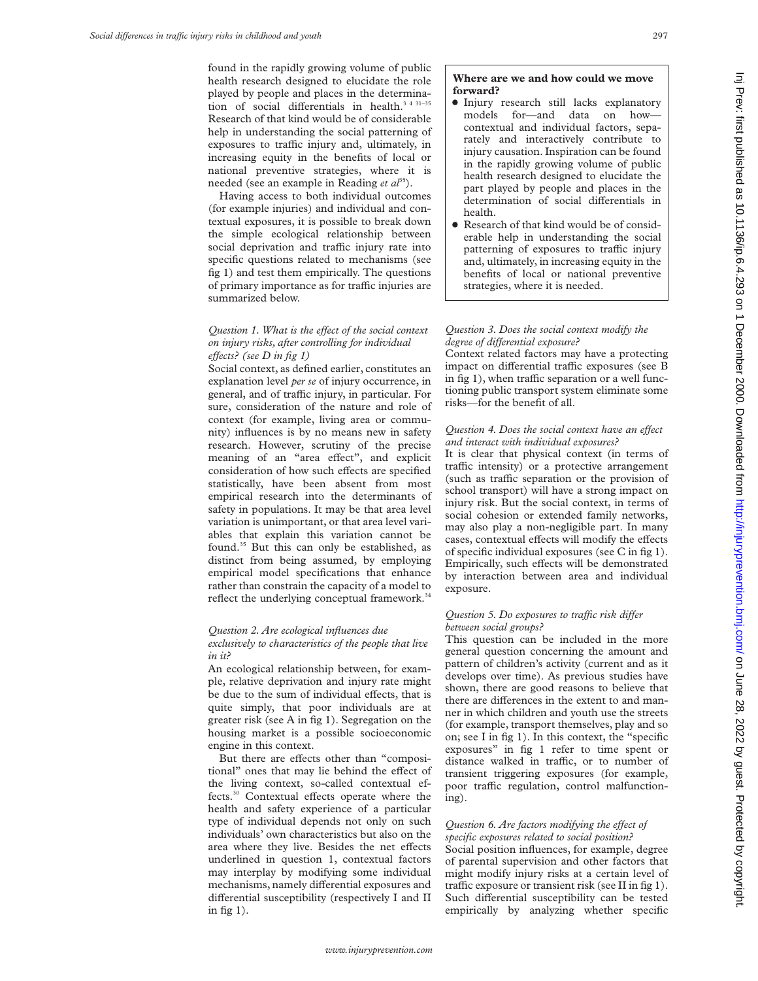found in the rapidly growing volume of public health research designed to elucidate the role played by people and places in the determination of social differentials in health.<sup>3 4 31-35</sup> Research of that kind would be of considerable help in understanding the social patterning of exposures to traffic injury and, ultimately, in increasing equity in the benefits of local or national preventive strategies, where it is needed (see an example in Reading *et al*<sup>35</sup>).

Having access to both individual outcomes (for example injuries) and individual and contextual exposures, it is possible to break down the simple ecological relationship between social deprivation and traffic injury rate into specific questions related to mechanisms (see fig 1) and test them empirically. The questions of primary importance as for traffic injuries are summarized below.

# *Question 1. What is the effect of the social context on injury risks, after controlling for individual effects?* (see D in fig 1)

Social context, as defined earlier, constitutes an explanation level *per se* of injury occurrence, in general, and of traffic injury, in particular. For sure, consideration of the nature and role of context (for example, living area or community) influences is by no means new in safety research. However, scrutiny of the precise meaning of an "area effect", and explicit consideration of how such effects are specified statistically, have been absent from most empirical research into the determinants of safety in populations. It may be that area level variation is unimportant, or that area level variables that explain this variation cannot be found.35 But this can only be established, as distinct from being assumed, by employing empirical model specifications that enhance rather than constrain the capacity of a model to reflect the underlying conceptual framework.<sup>34</sup>

# *Question 2. Are ecological influences due*

*exclusively to characteristics of the people that live in it?*

An ecological relationship between, for example, relative deprivation and injury rate might be due to the sum of individual effects, that is quite simply, that poor individuals are at greater risk (see A in fig 1). Segregation on the housing market is a possible socioeconomic engine in this context.

But there are effects other than "compositional" ones that may lie behind the effect of the living context, so-called contextual effects.<sup>30</sup> Contextual effects operate where the health and safety experience of a particular type of individual depends not only on such individuals' own characteristics but also on the area where they live. Besides the net effects underlined in question 1, contextual factors may interplay by modifying some individual mechanisms, namely differential exposures and differential susceptibility (respectively I and II in fig 1).

# **Where are we and how could we move forward?**

- $\bullet$  Injury research still lacks explanatory models for—and data on how contextual and individual factors, separately and interactively contribute to injury causation. Inspiration can be found in the rapidly growing volume of public health research designed to elucidate the part played by people and places in the determination of social differentials in health.
- Research of that kind would be of considerable help in understanding the social patterning of exposures to traffic injury and, ultimately, in increasing equity in the benefits of local or national preventive strategies, where it is needed.

# *Question 3. Does the social context modify the degree of differential exposure?*

Context related factors may have a protecting impact on differential traffic exposures (see B in fig 1), when traffic separation or a well functioning public transport system eliminate some risks—for the benefit of all.

# *Question 4. Does the social context have an effect and interact with individual exposures?*

It is clear that physical context (in terms of traffic intensity) or a protective arrangement (such as traffic separation or the provision of school transport) will have a strong impact on injury risk. But the social context, in terms of social cohesion or extended family networks, may also play a non-negligible part. In many cases, contextual effects will modify the effects of specific individual exposures (see C in fig 1). Empirically, such effects will be demonstrated by interaction between area and individual exposure.

# *Question 5. Do exposures to traffic risk differ between social groups?*

This question can be included in the more general question concerning the amount and pattern of children's activity (current and as it develops over time). As previous studies have shown, there are good reasons to believe that there are differences in the extent to and manner in which children and youth use the streets (for example, transport themselves, play and so on; see I in fig 1). In this context, the "specific exposures" in fig 1 refer to time spent or distance walked in traffic, or to number of transient triggering exposures (for example, poor traffic regulation, control malfunctioning).

# *Question 6. Are factors modifying the effect of specific exposures related to social position?*

Social position influences, for example, degree of parental supervision and other factors that might modify injury risks at a certain level of traffic exposure or transient risk (see II in fig 1). Such differential susceptibility can be tested empirically by analyzing whether specific